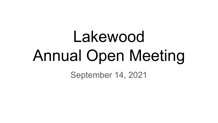# Lakewood Annual Open Meeting

September 14, 2021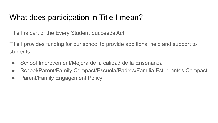### What does participation in Title I mean?

Title I is part of the Every Student Succeeds Act.

Title I provides funding for our school to provide additional help and support to students.

- School Improvement/Mejora de la calidad de la Enseñanza
- School/Parent/Family Compact/Escuela/Padres/Familia Estudiantes Compact
- Parent/Family Engagement Policy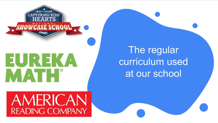

MATH<sup>®</sup>

The regular curriculum used at our school

AMERICAN READING COMPANY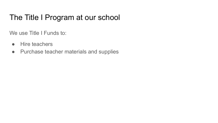### The Title I Program at our school

We use Title I Funds to:

- Hire teachers
- Purchase teacher materials and supplies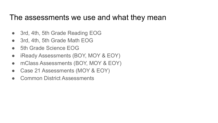#### The assessments we use and what they mean

- 3rd, 4th, 5th Grade Reading EOG
- 3rd, 4th, 5th Grade Math EOG
- 5th Grade Science EOG
- iReady Assessments (BOY, MOY & EOY)
- mClass Assessments (BOY, MOY & EOY)
- Case 21 Assessments (MOY & EOY)
- **Common District Assessments**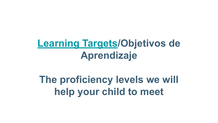## **[Learning Targets](https://drive.google.com/open?id=1ZvBlhLH6fC94t7AKCw1RGwZlnA-ElyZZ)/Objetivos de Aprendizaje**

# **The proficiency levels we will help your child to meet**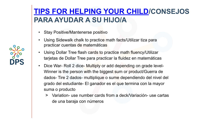#### **[TIPS FOR HELPING YOUR CHILD](https://www.weareteachers.com/15-fun-ways-to-practice-math/)/CONSEJOS PARA AYUDAR A SU HIJO/A**

- Stay Positive/Mantenerse positivo
- Using Sidewalk chalk to practice math facts/Utilizar tiza para practicar cuentas de matemáticas
- Using Dollar Tree flash cards to practice math fluency/Utilizar tarjetas de Dollar Tree para practicar la fluidez en matemáticas
- Dice War- Roll 2 dice- Multiply or add depending on grade level-Winner is the person with the biggest sum or product/Guerra de dados- Tire 2 dados- multiplique o sume dependiendo del nivel del grado del estudiante- El ganador es el que termina con la mayor suma o producto
	- > Variation- use number cards from a deck/Variación- use cartas de una baraja con números

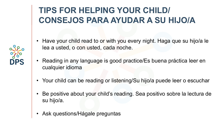### **TIPS FOR HELPING YOUR CHILD/ CONSEJOS PARA AYUDAR A SU HIJO/A**

- Have your child read to or with you every night. Haga que su hijo/a le lea a usted, o con usted, cada noche.
- Reading in any language is good practice/Es buena práctica leer en cualquier idioma
- Your child can be reading or listening/Su hijo/a puede leer o escuchar
- Be positive about your child's reading. Sea positivo sobre la lectura de su hijo/a.
- Ask questions/Hágale preguntas

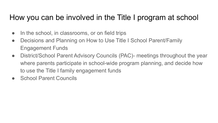### How you can be involved in the Title I program at school

- In the school, in classrooms, or on field trips
- Decisions and Planning on How to Use Title I School Parent/Family Engagement Funds
- District/School Parent Advisory Councils (PAC)- meetings throughout the year where parents participate in school-wide program planning, and decide how to use the Title I family engagement funds
- **School Parent Councils**